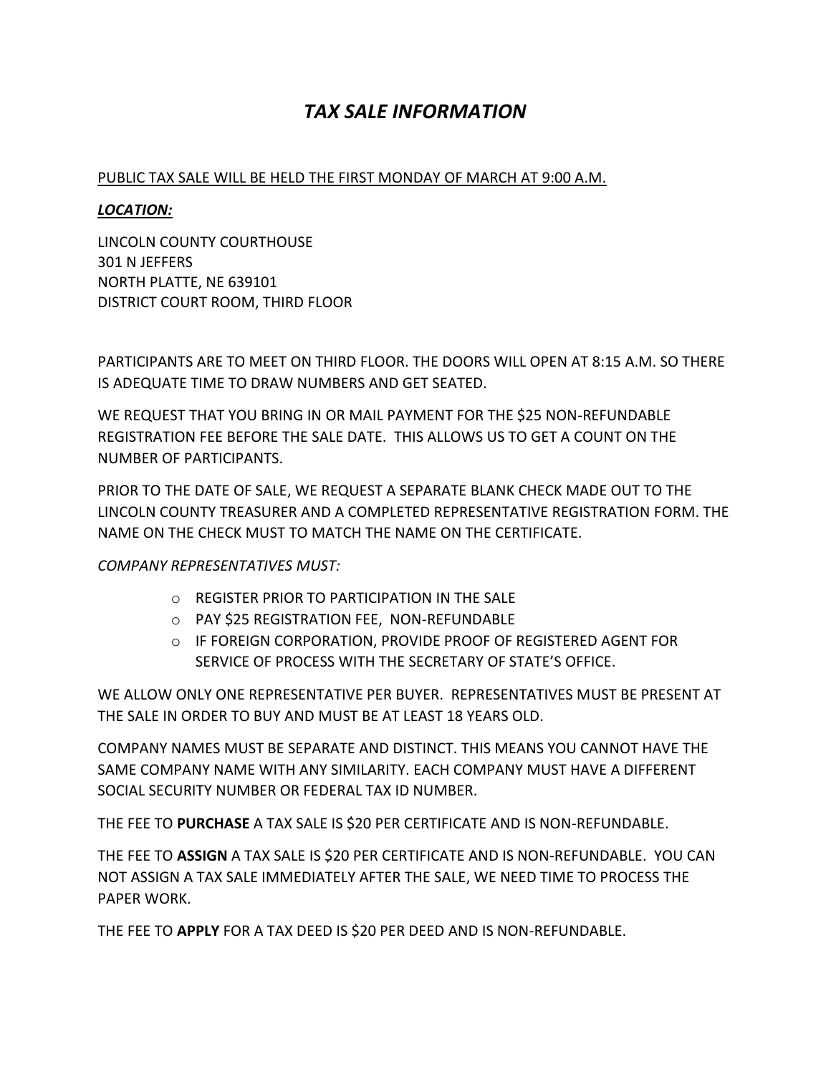# *TAX SALE INFORMATION*

#### PUBLIC TAX SALE WILL BE HELD THE FIRST MONDAY OF MARCH AT 9:00 A.M.

#### *LOCATION:*

LINCOLN COUNTY COURTHOUSE 301 N JEFFERS NORTH PLATTE, NE 639101 DISTRICT COURT ROOM, THIRD FLOOR

PARTICIPANTS ARE TO MEET ON THIRD FLOOR. THE DOORS WILL OPEN AT 8:15 A.M. SO THERE IS ADEQUATE TIME TO DRAW NUMBERS AND GET SEATED.

WE REQUEST THAT YOU BRING IN OR MAIL PAYMENT FOR THE \$25 NON-REFUNDABLE REGISTRATION FEE BEFORE THE SALE DATE. THIS ALLOWS US TO GET A COUNT ON THE NUMBER OF PARTICIPANTS.

PRIOR TO THE DATE OF SALE, WE REQUEST A SEPARATE BLANK CHECK MADE OUT TO THE LINCOLN COUNTY TREASURER AND A COMPLETED REPRESENTATIVE REGISTRATION FORM. THE NAME ON THE CHECK MUST TO MATCH THE NAME ON THE CERTIFICATE.

#### *COMPANY REPRESENTATIVES MUST:*

- o REGISTER PRIOR TO PARTICIPATION IN THE SALE
- o PAY \$25 REGISTRATION FEE, NON-REFUNDABLE
- o IF FOREIGN CORPORATION, PROVIDE PROOF OF REGISTERED AGENT FOR SERVICE OF PROCESS WITH THE SECRETARY OF STATE'S OFFICE.

WE ALLOW ONLY ONE REPRESENTATIVE PER BUYER. REPRESENTATIVES MUST BE PRESENT AT THE SALE IN ORDER TO BUY AND MUST BE AT LEAST 18 YEARS OLD.

COMPANY NAMES MUST BE SEPARATE AND DISTINCT. THIS MEANS YOU CANNOT HAVE THE SAME COMPANY NAME WITH ANY SIMILARITY. EACH COMPANY MUST HAVE A DIFFERENT SOCIAL SECURITY NUMBER OR FEDERAL TAX ID NUMBER.

THE FEE TO **PURCHASE** A TAX SALE IS \$20 PER CERTIFICATE AND IS NON-REFUNDABLE.

THE FEE TO **ASSIGN** A TAX SALE IS \$20 PER CERTIFICATE AND IS NON-REFUNDABLE. YOU CAN NOT ASSIGN A TAX SALE IMMEDIATELY AFTER THE SALE, WE NEED TIME TO PROCESS THE PAPER WORK.

THE FEE TO **APPLY** FOR A TAX DEED IS \$20 PER DEED AND IS NON-REFUNDABLE.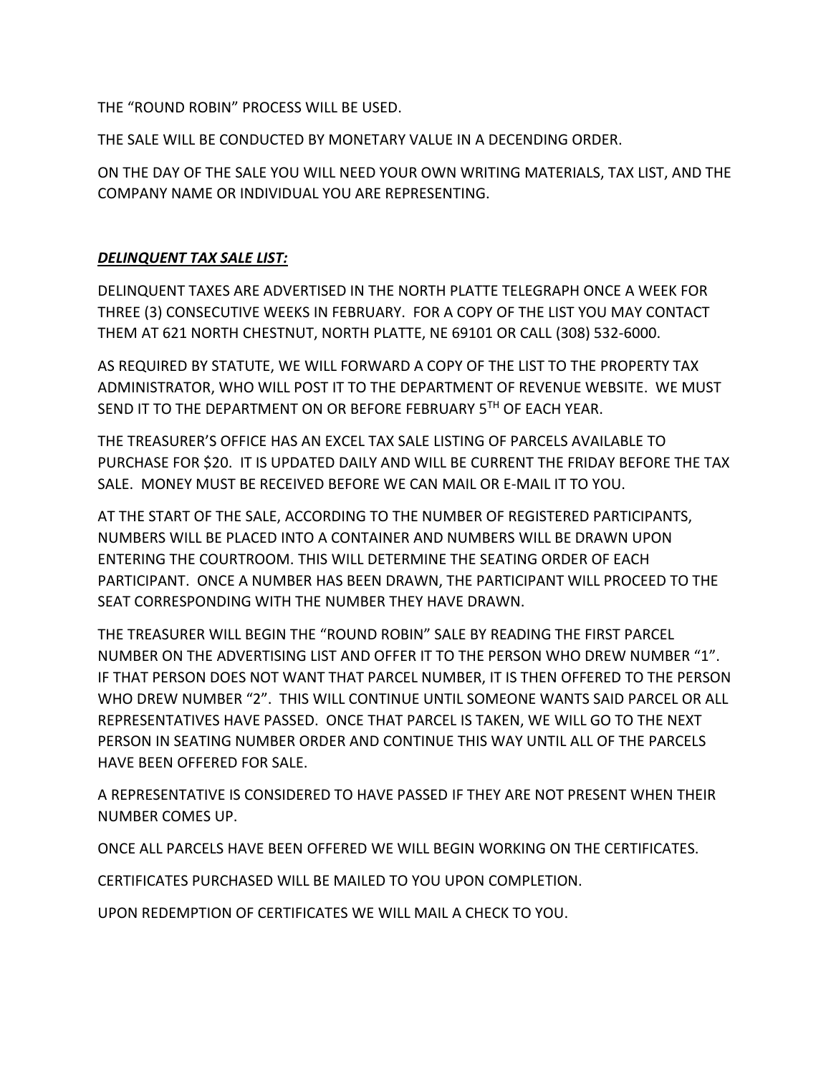THE "ROUND ROBIN" PROCESS WILL BE USED.

THE SALE WILL BE CONDUCTED BY MONETARY VALUE IN A DECENDING ORDER.

ON THE DAY OF THE SALE YOU WILL NEED YOUR OWN WRITING MATERIALS, TAX LIST, AND THE COMPANY NAME OR INDIVIDUAL YOU ARE REPRESENTING.

### *DELINQUENT TAX SALE LIST:*

DELINQUENT TAXES ARE ADVERTISED IN THE NORTH PLATTE TELEGRAPH ONCE A WEEK FOR THREE (3) CONSECUTIVE WEEKS IN FEBRUARY. FOR A COPY OF THE LIST YOU MAY CONTACT THEM AT 621 NORTH CHESTNUT, NORTH PLATTE, NE 69101 OR CALL (308) 532-6000.

AS REQUIRED BY STATUTE, WE WILL FORWARD A COPY OF THE LIST TO THE PROPERTY TAX ADMINISTRATOR, WHO WILL POST IT TO THE DEPARTMENT OF REVENUE WEBSITE. WE MUST SEND IT TO THE DEPARTMENT ON OR BEFORE FEBRUARY 5TH OF EACH YEAR.

THE TREASURER'S OFFICE HAS AN EXCEL TAX SALE LISTING OF PARCELS AVAILABLE TO PURCHASE FOR \$20. IT IS UPDATED DAILY AND WILL BE CURRENT THE FRIDAY BEFORE THE TAX SALE. MONEY MUST BE RECEIVED BEFORE WE CAN MAIL OR E-MAIL IT TO YOU.

AT THE START OF THE SALE, ACCORDING TO THE NUMBER OF REGISTERED PARTICIPANTS, NUMBERS WILL BE PLACED INTO A CONTAINER AND NUMBERS WILL BE DRAWN UPON ENTERING THE COURTROOM. THIS WILL DETERMINE THE SEATING ORDER OF EACH PARTICIPANT. ONCE A NUMBER HAS BEEN DRAWN, THE PARTICIPANT WILL PROCEED TO THE SEAT CORRESPONDING WITH THE NUMBER THEY HAVE DRAWN.

THE TREASURER WILL BEGIN THE "ROUND ROBIN" SALE BY READING THE FIRST PARCEL NUMBER ON THE ADVERTISING LIST AND OFFER IT TO THE PERSON WHO DREW NUMBER "1". IF THAT PERSON DOES NOT WANT THAT PARCEL NUMBER, IT IS THEN OFFERED TO THE PERSON WHO DREW NUMBER "2". THIS WILL CONTINUE UNTIL SOMEONE WANTS SAID PARCEL OR ALL REPRESENTATIVES HAVE PASSED. ONCE THAT PARCEL IS TAKEN, WE WILL GO TO THE NEXT PERSON IN SEATING NUMBER ORDER AND CONTINUE THIS WAY UNTIL ALL OF THE PARCELS HAVE BEEN OFFERED FOR SALE.

A REPRESENTATIVE IS CONSIDERED TO HAVE PASSED IF THEY ARE NOT PRESENT WHEN THEIR NUMBER COMES UP.

ONCE ALL PARCELS HAVE BEEN OFFERED WE WILL BEGIN WORKING ON THE CERTIFICATES.

CERTIFICATES PURCHASED WILL BE MAILED TO YOU UPON COMPLETION.

UPON REDEMPTION OF CERTIFICATES WE WILL MAIL A CHECK TO YOU.